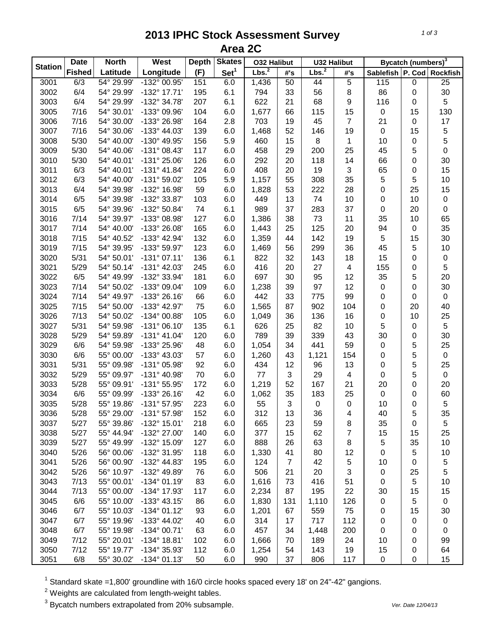## **2013 IPHC Stock Assessment Survey Area 2C**

|                | <b>Date</b>   | <b>North</b> | West                  | <b>Depth</b> | <b>Skates</b>    | <b>032 Halibut</b> |                | <b>U32 Halibut</b> |                | Bycatch (numbers) <sup>3</sup> |             |                  |
|----------------|---------------|--------------|-----------------------|--------------|------------------|--------------------|----------------|--------------------|----------------|--------------------------------|-------------|------------------|
| <b>Station</b> | <b>Fished</b> | Latitude     | Longitude             | (F)          | Set <sup>1</sup> | Lbs. <sup>2</sup>  | #'s            | Lbs. <sup>2</sup>  | #'s            | Sablefish P. Cod               |             | Rockfish         |
| 3001           | 6/3           | 54° 29.99'   | $-132^{\circ}$ 00.95' | 151          | 6.0              | 1,436              | 50             | 44                 | 5              | 115                            | $\pmb{0}$   | $\overline{25}$  |
| 3002           | 6/4           | 54° 29.99'   | -132° 17.71'          | 195          | 6.1              | 794                | 33             | 56                 | $\,8\,$        | 86                             | 0           | $30\,$           |
| 3003           | 6/4           | 54° 29.99'   | -132° 34.78'          | 207          | 6.1              | 622                | 21             | 68                 | 9              | 116                            | 0           | 5                |
| 3005           | 7/16          | 54° 30.01'   | -133° 09.96'          | 104          | 6.0              | 1,677              | 66             | 115                | 15             | $\mathbf 0$                    | 15          | 130              |
| 3006           | 7/16          | 54° 30.00'   | -133° 26.98'          | 164          | 2.8              | 703                | 19             | 45                 | $\overline{7}$ | 21                             | 0           | 17               |
| 3007           | 7/16          | 54° 30.06'   | -133° 44.03'          | 139          | 6.0              | 1,468              | 52             | 146                | 19             | $\pmb{0}$                      | 15          | 5                |
| 3008           | 5/30          | 54° 40.00'   | -130° 49.95'          | 156          | 5.9              | 460                | 15             | 8                  | 1              | 10                             | 0           | 5                |
| 3009           | 5/30          | 54° 40.06'   | $-131^{\circ}$ 08.43' | 117          | 6.0              | 458                | 29             | 200                | 25             | 45                             | 5           | $\mathsf 0$      |
| 3010           | 5/30          | 54° 40.01'   | -131° 25.06'          | 126          | 6.0              | 292                | 20             | 118                | 14             | 66                             | 0           | 30               |
| 3011           | 6/3           | 54° 40.01'   | $-131° 41.84'$        | 224          | 6.0              | 408                | 20             | 19                 | 3              | 65                             | 0           | 15               |
| 3012           | 6/3           | 54° 40.00'   | -131° 59.02'          | 105          | 5.9              | 1,157              | 55             | 308                | 35             | $\sqrt{5}$                     | 5           | 10               |
| 3013           | 6/4           | 54° 39.98'   | -132° 16.98'          | 59           | 6.0              | 1,828              | 53             | 222                | 28             | $\boldsymbol{0}$               | 25          | 15               |
| 3014           | 6/5           | 54° 39.98'   | -132° 33.87'          | 103          | 6.0              | 449                | 13             | 74                 | 10             | 0                              | 10          | $\pmb{0}$        |
| 3015           | 6/5           | 54° 39.96'   | -132° 50.84'          | 74           | 6.1              | 989                | 37             | 283                | 37             | 0                              | 20          | $\boldsymbol{0}$ |
| 3016           | 7/14          | 54° 39.97'   | -133° 08.98'          | 127          | 6.0              | 1,386              | 38             | 73                 | 11             | 35                             | 10          | 65               |
| 3017           | 7/14          | 54° 40.00'   | -133° 26.08'          | 165          | 6.0              | 1,443              | 25             | 125                | 20             | 94                             | 0           | 35               |
| 3018           | 7/15          | 54° 40.52'   | -133° 42.94'          | 132          | 6.0              | 1,359              | 44             | 142                | 19             | $\,$ 5 $\,$                    | 15          | $30\,$           |
| 3019           | 7/15          | 54° 39.95'   | -133° 59.97'          | 123          | 6.0              | 1,469              | 56             | 299                | 36             | 45                             | 5           | 10               |
| 3020           | 5/31          | 54° 50.01'   | $-131°07.11'$         | 136          | 6.1              | 822                | 32             | 143                | 18             | 15                             | 0           | $\pmb{0}$        |
| 3021           | 5/29          | 54° 50.14'   | $-131^{\circ}$ 42.03' | 245          | 6.0              | 416                | 20             | 27                 | $\overline{4}$ | 155                            | 0           | 5                |
| 3022           | 6/5           | 54° 49.99'   | -132° 33.94'          | 181          | 6.0              | 697                | 30             | 95                 | 12             | 35                             | 5           | 20               |
| 3023           | 7/14          | 54° 50.02'   | -133° 09.04'          | 109          | 6.0              | 1,238              | 39             | 97                 | 12             | $\pmb{0}$                      | 0           | 30               |
| 3024           | 7/14          | 54° 49.97'   | -133° 26.16'          | 66           | 6.0              | 442                | 33             | 775                | 99             | $\pmb{0}$                      | $\mathbf 0$ | $\pmb{0}$        |
| 3025           | 7/15          | 54° 50.00'   | -133° 42.97'          | 75           | 6.0              | 1,565              | 87             | 902                | 104            | $\boldsymbol{0}$               | 20          | 40               |
| 3026           | 7/13          | 54° 50.02'   | -134° 00.88'          | 105          | 6.0              | 1,049              | 36             | 136                | 16             | 0                              | 10          | 25               |
| 3027           | 5/31          | 54° 59.98'   | $-131°06.10'$         | 135          | 6.1              | 626                | 25             | 82                 | 10             | 5                              | 0           | $\sqrt{5}$       |
| 3028           | 5/29          | 54° 59.89'   | $-131^{\circ}$ 41.04' | 120          | 6.0              | 789                | 39             | 339                | 43             | 30                             | 0           | 30               |
| 3029           | 6/6           | 54° 59.98'   | -133° 25.96'          | 48           | 6.0              | 1,054              | 34             | 441                | 59             | $\mathbf 0$                    | 5           | 25               |
| 3030           | 6/6           | 55° 00.00'   | -133° 43.03'          | 57           | 6.0              | 1,260              | 43             | 1,121              | 154            | 0                              | 5           | $\mathbf 0$      |
| 3031           | 5/31          | 55° 09.98'   | -131° 05.98'          | 92           | 6.0              | 434                | 12             | 96                 | 13             | 0                              | 5           | 25               |
| 3032           | 5/29          | 55° 09.97'   | -131° 40.98'          | 70           | 6.0              | 77                 | 3              | 29                 | $\overline{4}$ | 0                              | 5           | $\pmb{0}$        |
| 3033           | 5/28          | 55° 09.91'   | -131° 55.95'          | 172          | 6.0              | 1,219              | 52             | 167                | 21             | 20                             | 0           | 20               |
| 3034           | 6/6           | 55° 09.99'   | -133° 26.16'          | 42           | 6.0              | 1,062              | 35             | 183                | 25             | 0                              | 0           | 60               |
| 3035           | 5/28          | 55° 19.86'   | -131° 57.95'          | 223          | 6.0              | 55                 | 3              | $\pmb{0}$          | $\mathbf 0$    | 10                             | 0           | 5                |
| 3036           | 5/28          | 55° 29.00'   | $-131^{\circ}$ 57.98' | 152          | 6.0              | 312                | 13             | 36                 | 4              | 40                             | 5           | 35               |
| 3037           | 5/27          | 55° 39.86'   | -132° 15.01'          | 218          | 6.0              | 665                | 23             | 59                 | 8              | 35                             | 0           | 5                |
| 3038           | 5/27          | 55° 44.94'   | -132° 27.00'          | 140          | 6.0              | 377                | 15             | 62                 | 7              | 15                             | 15          | 25               |
| 3039           | 5/27          | 55° 49.99'   | -132° 15.09'          | 127          | 6.0              | 888                | 26             | 63                 | 8              | $\,$ 5 $\,$                    | 35          | $10$             |
| 3040           | 5/26          | 56° 00.06'   | -132° 31.95'          | 118          | 6.0              | 1,330              | 41             | 80                 | 12             | 0                              | 5           | 10               |
| 3041           | 5/26          | 56° 00.90'   | -132° 44.83'          | 195          | 6.0              | 124                | $\overline{7}$ | 42                 | 5              | 10                             | 0           |                  |
| 3042           | 5/26          | 56° 10.97'   | -132° 49.89'          | 76           | 6.0              | 506                | 21             | 20                 | 3              | 0                              | 25          | 5<br>5           |
| 3043           | 7/13          | 55° 00.01'   | -134° 01.19'          | 83           | 6.0              | 1,616              | 73             | 416                | 51             | 0                              | 5           | 10               |
| 3044           | 7/13          |              | -134° 17.93'          | 117          | 6.0              |                    |                | 195                | 22             |                                |             |                  |
|                |               | 55° 00.00'   |                       |              |                  | 2,234              | 87             |                    |                | 30                             | 15          | 15               |
| 3045           | 6/6           | 55° 10.00'   | $-133^{\circ}$ 43.15' | 86           | 6.0              | 1,830              | 131            | 1,110              | 126            | 0                              | 5           | 0                |
| 3046           | 6/7           | 55° 10.03'   | $-134^{\circ}$ 01.12' | 93           | 6.0              | 1,201              | 67             | 559                | 75             | 0                              | 15          | 30               |
| 3047           | 6/7           | 55° 19.96'   | -133° 44.02'          | 40           | 6.0              | 314                | 17             | 717                | 112            | 0                              | 0           | 0                |
| 3048           | 6/7           | 55° 19.98'   | -134° 00.71'          | 63           | 6.0              | 457                | 34             | 1,448              | 200            | 0                              | 0           | 0                |
| 3049           | 7/12          | 55° 20.01'   | $-134^{\circ}$ 18.81' | 102          | 6.0              | 1,666              | 70             | 189                | 24             | 10                             | 0           | 99               |
| 3050           | 7/12          | 55° 19.77'   | -134° 35.93'          | 112          | 6.0              | 1,254              | 54             | 143                | 19             | 15                             | 0           | 64               |
| 3051           | 6/8           | 55° 30.02'   | $-134^{\circ}$ 01.13' | 50           | 6.0              | 990                | 37             | 806                | 117            | 0                              | 0           | 15               |

 $1$  Standard skate =1,800' groundline with 16/0 circle hooks spaced every 18' on 24"-42" gangions.

 $2$  Weights are calculated from length-weight tables.

<sup>3</sup> Bycatch numbers extrapolated from 20% subsample. *Ver. Date 12/04/13*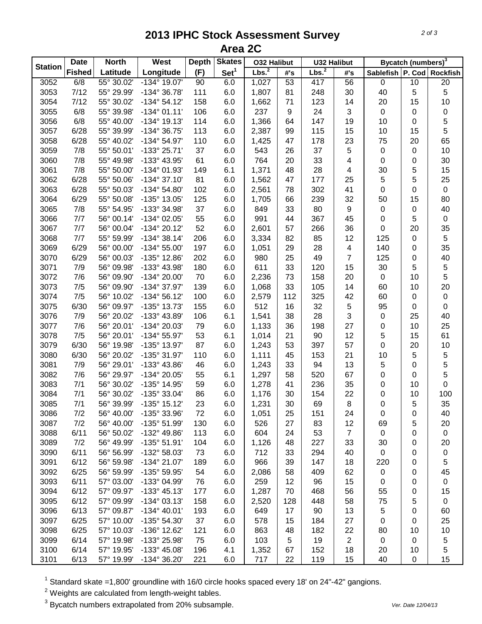## **2013 IPHC Stock Assessment Survey Area 2C**

|                | <b>Date</b>   | <b>North</b> | West                  | <b>Depth</b> | <b>Skates</b>    | <b>032 Halibut</b> |     | <b>U32 Halibut</b> |                 | Bycatch (numbers) <sup>3</sup> |           |             |
|----------------|---------------|--------------|-----------------------|--------------|------------------|--------------------|-----|--------------------|-----------------|--------------------------------|-----------|-------------|
| <b>Station</b> | <b>Fished</b> | Latitude     | Longitude             | (F)          | Set <sup>1</sup> | Lbs. <sup>2</sup>  | #'s | Lbs. <sup>2</sup>  | #'s             | Sablefish P. Cod               |           | Rockfish    |
| 3052           | 6/8           | 55° 30.02'   | $-134^{\circ}$ 19.07' | 90           | 6.0              | 1,027              | 53  | 417                | $\overline{56}$ | $\mathsf 0$                    | 10        | 20          |
| 3053           | 7/12          | 55° 29.99'   | -134° 36.78'          | 111          | 6.0              | 1,807              | 81  | 248                | 30              | 40                             | 5         | 5           |
| 3054           | 7/12          | 55° 30.02'   | $-134^{\circ} 54.12'$ | 158          | 6.0              | 1,662              | 71  | 123                | 14              | 20                             | 15        | 10          |
| 3055           | 6/8           | 55° 39.98'   | $-134^{\circ}$ 01.11' | 106          | 6.0              | 237                | 9   | 24                 | 3               | $\mathsf 0$                    | 0         | $\pmb{0}$   |
| 3056           | 6/8           | 55° 40.00'   | $-134^{\circ}$ 19.13' | 114          | 6.0              | 1,366              | 64  | 147                | 19              | 10                             | 0         | 5           |
| 3057           | 6/28          | 55° 39.99'   | -134° 36.75'          | 113          | 6.0              | 2,387              | 99  | 115                | 15              | 10                             | 15        | 5           |
| 3058           | 6/28          | 55° 40.02'   | -134° 54.97'          | 110          | 6.0              | 1,425              | 47  | 178                | 23              | 75                             | 20        | 65          |
| 3059           | 7/8           | 55° 50.01'   | -133° 25.71'          | 37           | 6.0              | 543                | 26  | 37                 | 5               | $\mathsf 0$                    | 0         | 10          |
| 3060           | 7/8           | 55° 49.98'   | -133° 43.95'          | 61           | 6.0              | 764                | 20  | 33                 | 4               | $\pmb{0}$                      | 0         | 30          |
| 3061           | 7/8           | 55° 50.00'   | -134° 01.93'          | 149          | 6.1              | 1,371              | 48  | 28                 | 4               | 30                             | 5         | 15          |
| 3062           | 6/28          | 55° 50.06'   | $-134^{\circ}37.10'$  | 81           | 6.0              | 1,562              | 47  | 177                | 25              | 5                              | 5         | 25          |
| 3063           | 6/28          | 55° 50.03'   | -134° 54.80'          | 102          | 6.0              | 2,561              | 78  | 302                | 41              | 0                              | 0         | $\pmb{0}$   |
| 3064           | 6/29          | 55° 50.08'   | -135° 13.05'          | 125          | 6.0              | 1,705              | 66  | 239                | 32              | 50                             | 15        | 80          |
| 3065           | 7/8           | 55° 54.95'   | -133° 34.98'          | 37           | 6.0              | 849                | 33  | 80                 | 9               | $\pmb{0}$                      | 0         | 40          |
| 3066           | 7/7           | 56° 00.14'   | -134° 02.05'          | 55           | 6.0              | 991                | 44  | 367                | 45              | 0                              | 5         | $\pmb{0}$   |
| 3067           | 7/7           | 56° 00.04'   | $-134^{\circ} 20.12'$ | 52           | 6.0              | 2,601              | 57  | 266                | 36              | 0                              | 20        | 35          |
| 3068           | 7/7           | 55° 59.99'   | $-134^{\circ}38.14'$  | 206          | 6.0              | 3,334              | 82  | 85                 | 12              | 125                            | 0         | $\sqrt{5}$  |
| 3069           | 6/29          | 56° 00.00'   | $-134^{\circ} 55.00'$ | 197          | 6.0              | 1,051              | 29  | 28                 | 4               | 140                            | 0         | 35          |
| 3070           | 6/29          | 56° 00.03'   | -135° 12.86'          | 202          | 6.0              | 980                | 25  | 49                 | $\overline{7}$  | 125                            | 0         | 40          |
| 3071           | 7/9           | 56° 09.98'   | -133° 43.98'          | 180          | 6.0              | 611                | 33  | 120                | 15              | 30                             | 5         | $\,$ 5 $\,$ |
| 3072           | 7/6           | 56° 09.90'   | -134° 20.00'          | 70           | 6.0              | 2,236              | 73  | 158                | 20              | $\mathbf 0$                    | 10        | 5           |
| 3073           | 7/5           | 56° 09.90'   | -134° 37.97'          | 139          | 6.0              | 1,068              | 33  | 105                | 14              | 60                             | 10        | 20          |
| 3074           | 7/5           | 56° 10.02'   | $-134^{\circ} 56.12'$ | 100          | 6.0              | 2,579              | 112 | 325                | 42              | 60                             | $\pmb{0}$ | $\pmb{0}$   |
| 3075           | 6/30          | 56° 09.97'   | -135° 13.73'          | 155          | 6.0              | 512                | 16  | 32                 | 5               | 95                             | 0         | $\pmb{0}$   |
| 3076           | 7/9           | 56° 20.02'   | -133° 43.89'          | 106          | 6.1              | 1,541              | 38  | 28                 | 3               | $\pmb{0}$                      | 25        | 40          |
| 3077           | 7/6           | 56° 20.01'   | -134° 20.03'          | 79           | 6.0              | 1,133              | 36  | 198                | 27              | 0                              | 10        | 25          |
| 3078           | 7/5           | 56° 20.01'   | $-134^{\circ} 55.97'$ | 53           | 6.1              | 1,014              | 21  | 90                 | 12              | 5                              | 15        | 61          |
| 3079           | 6/30          | 56° 19.98'   | -135° 13.97'          | 87           | 6.0              | 1,243              | 53  | 397                | 57              | $\pmb{0}$                      | 20        | 10          |
| 3080           | 6/30          | 56° 20.02'   | -135° 31.97'          | 110          | 6.0              | 1,111              | 45  | 153                | 21              | 10                             | 5         | 5           |
| 3081           | 7/9           | 56° 29.01'   | -133° 43.86'          | 46           | 6.0              | 1,243              | 33  | 94                 | 13              | 5                              | 0         | 5           |
| 3082           | 7/6           | 56° 29.97'   | -134° 20.05'          | 55           | 6.1              | 1,297              | 58  | 520                | 67              | 0                              | 0         | 5           |
| 3083           | 7/1           | 56° 30.02'   | -135° 14.95'          | 59           | 6.0              | 1,278              | 41  | 236                | 35              | 0                              | 10        | 0           |
| 3084           | 7/1           | 56° 30.02'   | -135° 33.04'          | 86           | 6.0              | 1,176              | 30  | 154                | 22              | 0                              | 10        | 100         |
| 3085           | 7/1           | 56° 39.99'   | -135° 15.12'          | 23           | 6.0              | 1,231              | 30  | 69                 | 8               | 0                              | 5         | 35          |
| 3086           | 7/2           | 56° 40.00'   | -135° 33.96'          | 72           | 6.0              | 1,051              | 25  | 151                | 24              | 0                              | 0         | 40          |
| 3087           | 7/2           | 56° 40.00'   | -135° 51.99'          | 130          | 6.0              | 526                | 27  | 83                 | 12              | 69                             | 5         | 20          |
| 3088           | 6/11          | 56° 50.02'   | -132° 49.86'          | 113          | 6.0              | 604                | 24  | 53                 | $\overline{7}$  | $\mathbf 0$                    | 0         | $\pmb{0}$   |
| 3089           | 7/2           | 56° 49.99'   | $-135^{\circ} 51.91'$ | 104          | 6.0              | 1,126              | 48  | 227                | 33              | 30                             | 0         | 20          |
| 3090           | 6/11          | 56° 56.99'   | -132° 58.03'          | 73           | 6.0              | 712                | 33  | 294                | 40              | $\mathbf 0$                    | 0         | 0           |
| 3091           | 6/12          | 56° 59.98'   | -134° 21.07'          | 189          | 6.0              | 966                | 39  | 147                | 18              | 220                            | 0         | 5           |
| 3092           | 6/25          | 56° 59.99'   | -135° 59.95'          | 54           | 6.0              | 2,086              | 58  | 409                | 62              | $\pmb{0}$                      | 0         | 45          |
| 3093           | 6/11          | 57° 03.00'   | -133° 04.99'          | 76           | 6.0              | 259                | 12  | 96                 | 15              | 0                              | 0         | $\pmb{0}$   |
| 3094           | 6/12          | 57° 09.97'   | $-133^{\circ}$ 45.13' | 177          | 6.0              | 1,287              | 70  | 468                | 56              | 55                             | 0         | 15          |
| 3095           | 6/12          | 57° 09.99'   | $-134^{\circ}$ 03.13' | 158          | 6.0              | 2,520              | 128 | 448                | 58              | 75                             | 5         | $\mathbf 0$ |
| 3096           | 6/13          | 57° 09.87'   | $-134^{\circ}$ 40.01' | 193          | 6.0              | 649                | 17  | 90                 | 13              | 5                              | 0         | 60          |
| 3097           | 6/25          | 57° 10.00'   | -135° 54.30'          | 37           | 6.0              | 578                | 15  | 184                | 27              | 0                              | 0         | 25          |
| 3098           | 6/25          | 57° 10.03'   | -136° 12.62'          | 121          | 6.0              | 863                | 48  | 182                | 22              | 80                             | 10        | 10          |
| 3099           | 6/14          | 57° 19.98'   | -133° 25.98'          | 75           | 6.0              | 103                | 5   | 19                 | $\overline{c}$  | $\mathbf 0$                    | 0         | $\,$ 5 $\,$ |
| 3100           | 6/14          | 57° 19.95'   | -133° 45.08'          | 196          | 4.1              | 1,352              | 67  | 152                | 18              | 20                             | 10        | 5           |
| 3101           | 6/13          | 57° 19.99'   | -134° 36.20'          | 221          | 6.0              | 717                | 22  | 119                | 15              | 40                             | $\pmb{0}$ | 15          |

 $1$  Standard skate =1,800' groundline with 16/0 circle hooks spaced every 18' on 24"-42" gangions.

 $2$  Weights are calculated from length-weight tables.

<sup>3</sup> Bycatch numbers extrapolated from 20% subsample. *Ver. Date 12/04/13*